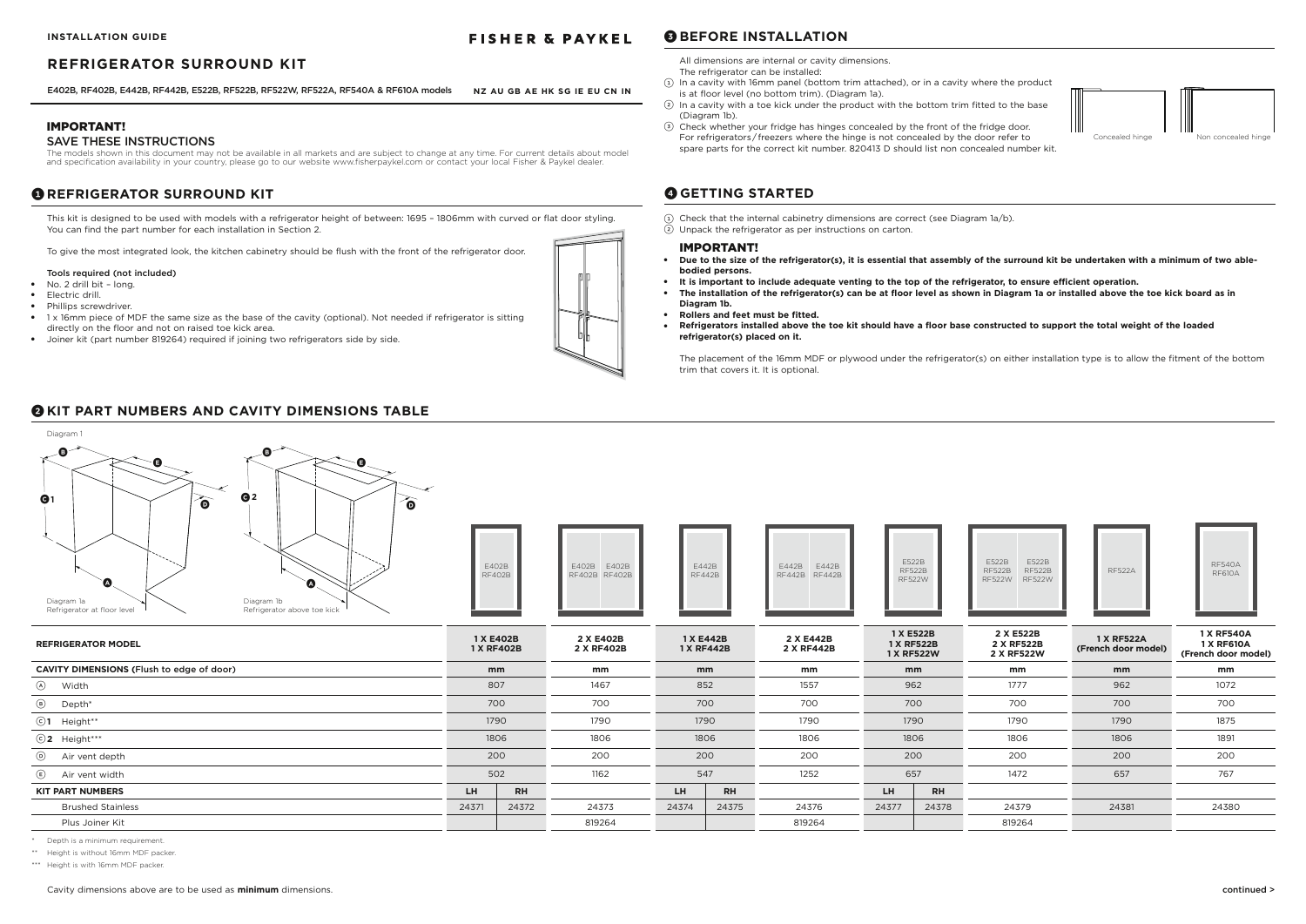### IMPORTANT!

### SAVE THESE INSTRUCTIONS

The models shown in this document may not be available in all markets and are subject to change at any time. For current details about model and specification availability in your country, please go to our website www.fisherpaykel.com or contact your local Fisher & Paykel dealer.

## **1** REFRIGERATOR SURROUND KIT

 $(1)$  Check that the internal cabinetry dimensions are correct (see Diagram 1a/b). 2 Unpack the refrigerator as per instructions on carton.

### IMPORTANT!

- **Due to the size of the refrigerator(s), it is essential that assembly of the surround kit be undertaken with a minimum of two ablebodied persons.**
- **It is important to include adequate venting to the top of the refrigerator, to ensure efficient operation.**
- The installation of the refrigerator(s) can be at floor level as shown in Diagram 1a or installed above the toe kick board as in **Diagram 1b.**
- **Rollers and feet must be fitted.**
- **Refrigerators installed above the toe kit should have a floor base constructed to support the total weight of the loaded refrigerator(s) placed on it.**
- No. 2 drill bit long.
- Electric drill.
- Phillips screwdriver.
- 1 x 16mm piece of MDF the same size as the base of the cavity (optional). Not needed if refrigerator is sitting directly on the floor and not on raised toe kick area.
- Joiner kit (part number 819264) required if joining two refrigerators side by side.

The placement of the 16mm MDF or plywood under the refrigerator(s) on either installation type is to allow the fitment of the bottom trim that covers it. It is optional.

## **4 GETTING STARTED**

This kit is designed to be used with models with a refrigerator height of between: 1695 – 1806mm with curved or flat door styling. You can find the part number for each installation in Section 2.

To give the most integrated look, the kitchen cabinetry should be flush with the front of the refrigerator door.

### Tools required (not included)

| Q <sub>2</sub><br>$\mathbf{Q}$ <sup>1</sup><br>$\widehat{\bullet}$<br>ò<br>`Ø<br>$\bullet$<br>Diagram 1b<br>Diagram 1a<br>Refrigerator at floor level<br>Refrigerator above toe kick | E402B<br><b>RF402B</b>  |           | E402B<br>E402B<br>RF402B RF402B | E442B<br><b>RF442B</b>  | E442B<br>E442B<br>RF442B RF442B | <b>RF522W</b>                         | E522B<br><b>RF522B</b> | E522B<br>E522B<br><b>RF522B</b><br><b>RF522B</b><br><b>RF522W</b><br><b>RF522W</b> | <b>RF522A</b>                            | <b>RF540A</b><br><b>RF610A</b>                                |
|--------------------------------------------------------------------------------------------------------------------------------------------------------------------------------------|-------------------------|-----------|---------------------------------|-------------------------|---------------------------------|---------------------------------------|------------------------|------------------------------------------------------------------------------------|------------------------------------------|---------------------------------------------------------------|
| <b>REFRIGERATOR MODEL</b>                                                                                                                                                            | 1 X E402B<br>1 X RF402B |           | 2 X E402B<br>2 X RF402B         | 1 X E442B<br>1 X RF442B | 2 X E442B<br>2 X RF442B         | 1 X E522B<br>1 X RF522B<br>1 X RF522W |                        | 2 X E522B<br>2 X RF522B<br>2 X RF522W                                              | <b>1 X RF522A</b><br>(French door model) | <b>1 X RF540A</b><br><b>1 X RF610A</b><br>(French door model) |
| <b>CAVITY DIMENSIONS (Flush to edge of door)</b>                                                                                                                                     | mm                      |           | mm                              | mm                      | mm                              | mm                                    |                        | mm                                                                                 | mm                                       | mm                                                            |
| A Width                                                                                                                                                                              | 807                     |           | 1467                            | 852                     | 1557                            | 962                                   |                        | 1777                                                                               | 962                                      | 1072                                                          |
| $\odot$<br>Depth*                                                                                                                                                                    | 700                     |           | 700                             | 700                     | 700                             | 700                                   |                        | 700                                                                                | 700                                      | 700                                                           |
| $©1$ Height**                                                                                                                                                                        | 1790                    |           | 1790                            | 1790                    | 1790                            | 1790                                  |                        | 1790                                                                               | 1790                                     | 1875                                                          |
| $\odot$ 2 Height***                                                                                                                                                                  | 1806                    |           | 1806                            | 1806                    | 1806                            | 1806                                  |                        | 1806                                                                               | 1806                                     | 1891                                                          |
| $\odot$<br>Air vent depth                                                                                                                                                            | 200                     |           | 200                             | 200                     | 200                             | 200                                   |                        | 200                                                                                | 200                                      | 200                                                           |
| $\bigcirc$<br>Air vent width                                                                                                                                                         | 502                     |           | 1162                            | 547                     | 1252                            | 657                                   |                        | 1472                                                                               | 657                                      | 767                                                           |
| <b>KIT PART NUMBERS</b>                                                                                                                                                              | LH.                     | <b>RH</b> |                                 | <b>RH</b><br>LH         |                                 | LH                                    | <b>RH</b>              |                                                                                    |                                          |                                                               |
| <b>Brushed Stainless</b>                                                                                                                                                             | 24371                   | 24372     | 24373                           | 24375<br>24374          | 24376                           | 24377                                 | 24378                  | 24379                                                                              | 24381                                    | 24380                                                         |
| Plus Joiner Kit                                                                                                                                                                      |                         |           | 819264                          |                         | 819264                          |                                       |                        | 819264                                                                             |                                          |                                                               |



\* Depth is a minimum requirement.

\*\* Height is without 16mm MDF packer.

\*\*\* Height is with 16mm MDF packer.



## **2 KIT PART NUMBERS AND CAVITY DIMENSIONS TABLE**

All dimensions are internal or cavity dimensions. The refrigerator can be installed:

- 1 In a cavity with 16mm panel (bottom trim attached), or in a cavity where the product is at floor level (no bottom trim). (Diagram 1a).
- $(2)$  In a cavity with a toe kick under the product with the bottom trim fitted to the base (Diagram 1b).
- 3 Check whether your fridge has hinges concealed by the front of the fridge door. For refrigerators / freezers where the hinge is not concealed by the door refer to spare parts for the correct kit number. 820413 D should list non concealed number kit.

**3 BEFORE INSTALLATION**



### **REFRIGERATOR SURROUND KIT**

### **FISHER & PAYKEL**

**NZ AU GB AE HK SG IE EU CN IN** E402B, RF402B, E442B, RF442B, E522B, RF522B, RF522W, RF522A, RF540A & RF610A models